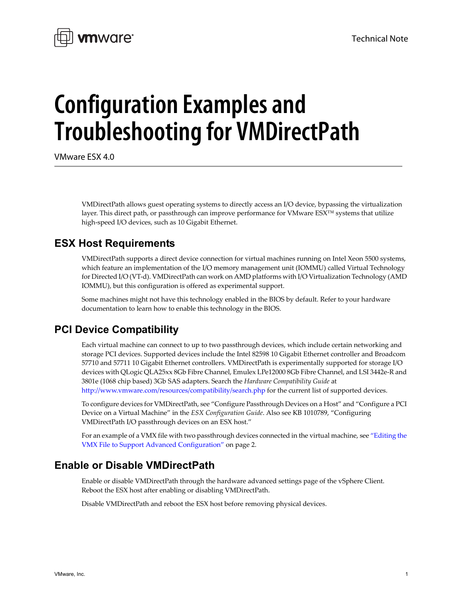

# **Configuration Examples and Troubleshooting for VMDirectPath**

VMware ESX 4.0

VMDirectPath allows guest operating systems to directly access an I/O device, bypassing the virtualization layer. This direct path, or passthrough can improve performance for VMware ESX™ systems that utilize high‐speed I/O devices, such as 10 Gigabit Ethernet.

# **ESX Host Requirements**

VMDirectPath supports a direct device connection for virtual machines running on Intel Xeon 5500 systems, which feature an implementation of the I/O memory management unit (IOMMU) called Virtual Technology for Directed I/O (VT‐d). VMDirectPath can work on AMD platforms with I/O Virtualization Technology (AMD IOMMU), but this configuration is offered as experimental support.

Some machines might not have this technology enabled in the BIOS by default. Refer to your hardware documentation to learn how to enable this technology in the BIOS.

# **PCI Device Compatibility**

Each virtual machine can connect to up to two passthrough devices, which include certain networking and storage PCI devices. Supported devices include the Intel 82598 10 Gigabit Ethernet controller and Broadcom 57710 and 57711 10 Gigabit Ethernet controllers. VMDirectPath is experimentally supported for storage I/O devices with QLogic QLA25xx 8Gb Fibre Channel, Emulex LPe12000 8Gb Fibre Channel, and LSI 3442e‐R and 3801e (1068 chip based) 3Gb SAS adapters. Search the *Hardware Compatibility Guide* at <http://www.vmware.com/resources/compatibility/search.php> for the current list of supported devices.

To configure devices for VMDirectPath, see "Configure Passthrough Devices on a Host" and "Configure a PCI Device on a Virtual Machine" in the *ESX Configuration Guide*. Also see KB 1010789, "Configuring VMDirectPath I/O passthrough devices on an ESX host."

For an example of a VMX file with two passthrough devices connected in the virtual machine, see ["Editing](#page-1-0) the VMX File to Support Advanced [Configuration"](#page-1-0) on page 2.

# **Enable or Disable VMDirectPath**

Enable or disable VMDirectPath through the hardware advanced settings page of the vSphere Client. Reboot the ESX host after enabling or disabling VMDirectPath.

Disable VMDirectPath and reboot the ESX host before removing physical devices.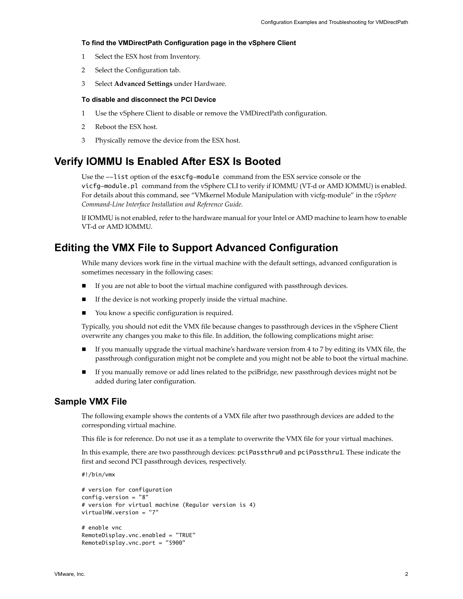#### **To find the VMDirectPath Configuration page in the vSphere Client**

- 1 Select the ESX host from Inventory.
- 2 Select the Configuration tab.
- 3 Select **Advanced Settings** under Hardware.

#### **To disable and disconnect the PCI Device**

- 1 Use the vSphere Client to disable or remove the VMDirectPath configuration.
- 2 Reboot the ESX host.
- 3 Physically remove the device from the ESX host.

## **Verify IOMMU Is Enabled After ESX Is Booted**

Use the --list option of the esxcfg-module command from the ESX service console or the vicfg-module.pl command from the vSphere CLI to verify if IOMMU (VT‐d or AMD IOMMU) is enabled. For details about this command, see "VMkernel Module Manipulation with vicfg-module" in the *vSphere Command‐Line Interface Installation and Reference Guide*.

If IOMMU is not enabled, refer to the hardware manual for your Intel or AMD machine to learn how to enable VT‐d or AMD IOMMU.

## <span id="page-1-0"></span>**Editing the VMX File to Support Advanced Configuration**

While many devices work fine in the virtual machine with the default settings, advanced configuration is sometimes necessary in the following cases:

- If you are not able to boot the virtual machine configured with passthrough devices.
- If the device is not working properly inside the virtual machine.
- You know a specific configuration is required.

Typically, you should not edit the VMX file because changes to passthrough devices in the vSphere Client overwrite any changes you make to this file. In addition, the following complications might arise:

- If you manually upgrade the virtual machine's hardware version from 4 to 7 by editing its VMX file, the passthrough configuration might not be complete and you might not be able to boot the virtual machine.
- If you manually remove or add lines related to the pciBridge, new passthrough devices might not be added during later configuration.

#### **Sample VMX File**

The following example shows the contents of a VMX file after two passthrough devices are added to the corresponding virtual machine.

This file is for reference. Do not use it as a template to overwrite the VMX file for your virtual machines.

In this example, there are two passthrough devices: pciPassthru0 and pciPassthru1. These indicate the first and second PCI passthrough devices, respectively.

```
#!/bin/vmx
# version for configuration
config.version = "8"
# version for virtual machine (Regular version is 4)
virtualHW.version = "7"
# enable vnc
RemoteDisplay.vnc.enabled = "TRUE"
```
RemoteDisplay.vnc.port = "5900"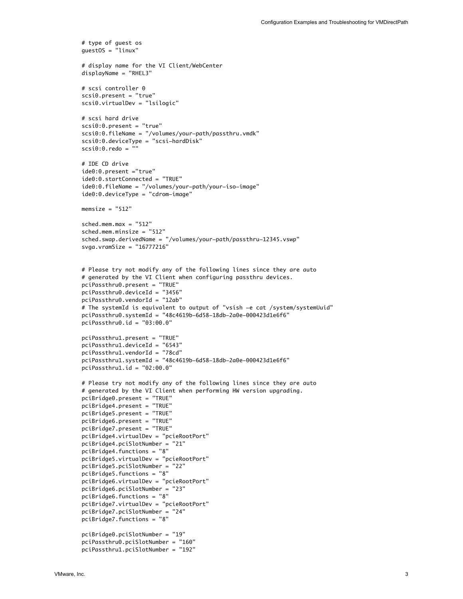```
# type of guest os
guestOS = "linux"
# display name for the VI Client/WebCenter
displayName = "RHEL3"
# scsi controller 0
scsi0.present = "true"
scsi0.virtualDev = "lsilogic"
# scsi hard drive
scsi0:0.present = "true"
scsi0:0.fileName = "/volumes/your-path/passthru.vmdk"
scsi0:0.deviceType = "scsi-hardDisk"
scsi0:0.redo = ""
# IDE CD drive
ide0:0.present ="true"
ide0:0.startConnected = "TRUE"
ide0:0.fileName = "/volumes/your-path/your-iso-image"
ide0:0.deviceType = "cdrom-image"
mensize = "512"sched.mem.max = "512"
sched.mem.minsize = "512"
sched.swap.derivedName = "/volumes/your-path/passthru-12345.vswp"
svga.vramSize = "16777216"
# Please try not modify any of the following lines since they are auto
# generated by the VI Client when configuring passthru devices.
pciPassthru0.present = "TRUE"
pciPassthru0.deviceId = "3456"
pciPassthru0.vendorId = "12ab"
# The systemId is equivalent to output of "vsish -e cat /system/systemUuid"
pciPassthru0.systemId = "48c4619b-6d58-18db-2a0e-000423d1e6f6"
pciPassthru0.id = "03:00.0"
pciPassthru1.present = "TRUE"
pciPassthru1.deviceId = "6543"
pciPassthru1.vendorId = "78cd"
pciPassthru1.systemId = "48c4619b-6d58-18db-2a0e-000423d1e6f6"
pciPassthru1.id = "02:00.0"# Please try not modify any of the following lines since they are auto
# generated by the VI Client when performing HW version upgrading.
pciBridge0.present = "TRUE"
pciBridge4.present = "TRUE"
pciBridge5.present = "TRUE"
pciBridge6.present = "TRUE"
pciBridge7.present = "TRUE"
pciBridge4.virtualDev = "pcieRootPort"
pciBridge4.pciSlotNumber = "21"
pciBridge4.functions = "8"
pciBridge5.virtualDev = "pcieRootPort"
pciBridge5.pciSlotNumber = "22"
pciBridge5.functions = "8"
pciBridge6.virtualDev = "pcieRootPort"
pciBridge6.pciSlotNumber = "23"
pciBridge6.functions = "8"
pciBridge7.virtualDev = "pcieRootPort"
pciBridge7.pciSlotNumber = "24"
pciBridge7.functions = "8"
pciBridge0.pciSlotNumber = "19"
pciPassthru0.pciSlotNumber = "160"
pciPassthru1.pciSlotNumber = "192"
```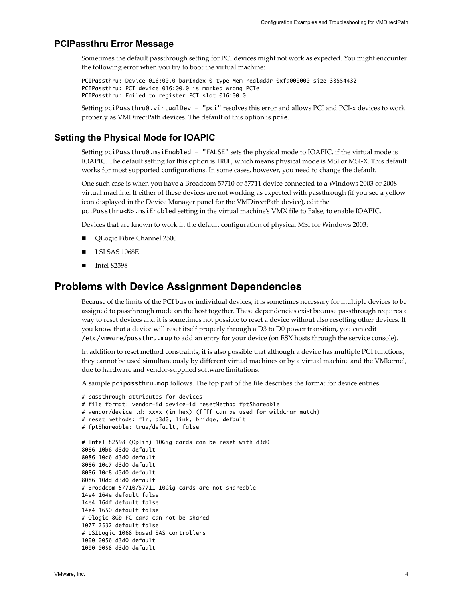#### **PCIPassthru Error Message**

Sometimes the default passthrough setting for PCI devices might not work as expected. You might encounter the following error when you try to boot the virtual machine:

PCIPassthru: Device 016:00.0 barIndex 0 type Mem realaddr 0xfa000000 size 33554432 PCIPassthru: PCI device 016:00.0 is marked wrong PCIe PCIPassthru: Failed to register PCI slot 016:00.0

Setting pciPassthru0. virtualDev = "pci" resolves this error and allows PCI and PCI-x devices to work properly as VMDirectPath devices. The default of this option is pcie.

#### <span id="page-3-0"></span>**Setting the Physical Mode for IOAPIC**

Setting pciPassthru0.msiEnabled = "FALSE" sets the physical mode to IOAPIC, if the virtual mode is IOAPIC. The default setting for this option is TRUE, which means physical mode is MSI or MSI‐X. This default works for most supported configurations. In some cases, however, you need to change the default.

One such case is when you have a Broadcom 57710 or 57711 device connected to a Windows 2003 or 2008 virtual machine. If either of these devices are not working as expected with passthrough (if you see a yellow icon displayed in the Device Manager panel for the VMDirectPath device), edit the pciPassthru<N>.msiEnabled setting in the virtual machine's VMX file to False, to enable IOAPIC.

Devices that are known to work in the default configuration of physical MSI for Windows 2003:

- QLogic Fibre Channel 2500
- LSI SAS 1068E
- Intel 82598

### **Problems with Device Assignment Dependencies**

Because of the limits of the PCI bus or individual devices, it is sometimes necessary for multiple devices to be assigned to passthrough mode on the host together. These dependencies exist because passthrough requires a way to reset devices and it is sometimes not possible to reset a device without also resetting other devices. If you know that a device will reset itself properly through a D3 to D0 power transition, you can edit /etc/vmware/passthru.map to add an entry for your device (on ESX hosts through the service console).

In addition to reset method constraints, it is also possible that although a device has multiple PCI functions, they cannot be used simultaneously by different virtual machines or by a virtual machine and the VMkernel, due to hardware and vendor‐supplied software limitations.

A sample pcipassthru.map follows. The top part of the file describes the format for device entries.

```
# passthrough attributes for devices
# file format: vendor-id device-id resetMethod fptShareable
# vendor/device id: xxxx (in hex) (ffff can be used for wildchar match)
# reset methods: flr, d3d0, link, bridge, default
# fptShareable: true/default, false
# Intel 82598 (Oplin) 10Gig cards can be reset with d3d0
8086 10b6 d3d0 default
8086 10c6 d3d0 default
8086 10c7 d3d0 default
8086 10c8 d3d0 default
8086 10dd d3d0 default
# Broadcom 57710/57711 10Gig cards are not shareable
14e4 164e default false
14e4 164f default false
14e4 1650 default false
# Qlogic 8Gb FC card can not be shared
1077 2532 default false
# LSILogic 1068 based SAS controllers
1000 0056 d3d0 default
1000 0058 d3d0 default
```